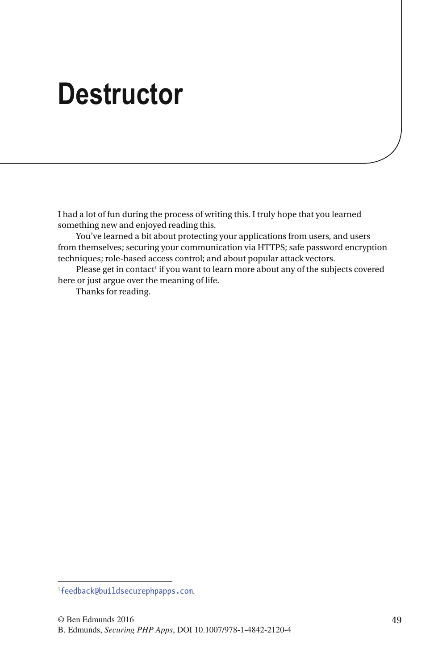# **Destructor**

 I had a lot of fun during the process of writing this. I truly hope that you learned something new and enjoyed reading this.

 You've learned a bit about protecting your applications from users, and users from themselves; securing your communication via HTTPS; safe password encryption techniques; role-based access control; and about popular attack vectors.

Please get in contact<sup>1</sup> if you want to learn more about any of the subjects covered here or just argue over the meaning of life.

Thanks for reading.

<sup>1</sup> [feedback@buildsecurephpapps.com](http://feedback@buildsecurephpapps.com).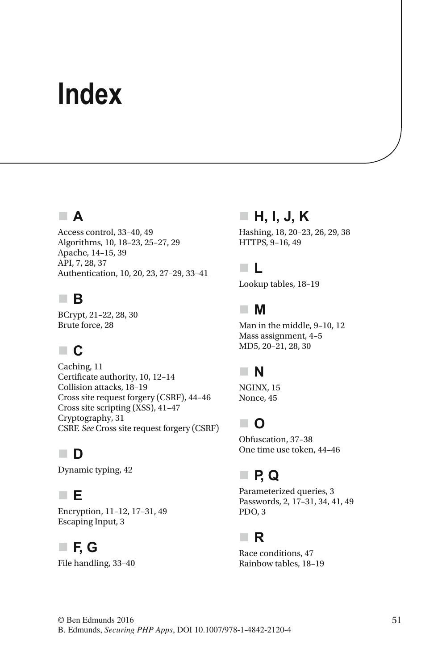# **Index**

#### **A**

Access control, 33-40, 49 Algorithms, 10, 18-23, 25-27, 29 Apache, 14-15, 39 API, 7, 28, 37 Authentication, 10, 20, 23, 27-29, 33-41

#### **B**

BCrypt, 21-22, 28, 30 Brute force, 28

#### **C**

Caching, 11 Certificate authority, 10, 12-14 Collision attacks, 18-19 Cross site request forgery (CSRF), 44-46 Cross site scripting (XSS) , 41–47 Cryptography, 31 CSRF . *See* Cross site request forgery (CSRF)

#### **D**

Dynamic typing, 42

#### **E**

Encryption, 11-12, 17-31, 49 Escaping Input, 3

#### **F, G**

File handling, 33-40

### **H, I, J, K**

Hashing, 18, 20-23, 26, 29, 38 HTTPS, 9-16, 49

#### **L**

Lookup tables, 18-19

#### **M**

Man in the middle, 9-10, 12 Mass assignment, 4-5 MD5, 20-21, 28, 30

## **N**

NGINX, 15 Nonce, 45

## **O**

Obfuscation, 37-38 One time use token, 44-46

## **P, Q**

Parameterized queries, 3 Passwords, 2, 17-31, 34, 41, 49 PDO, 3

#### **R**

Race conditions, 47 Rainbow tables, 18-19